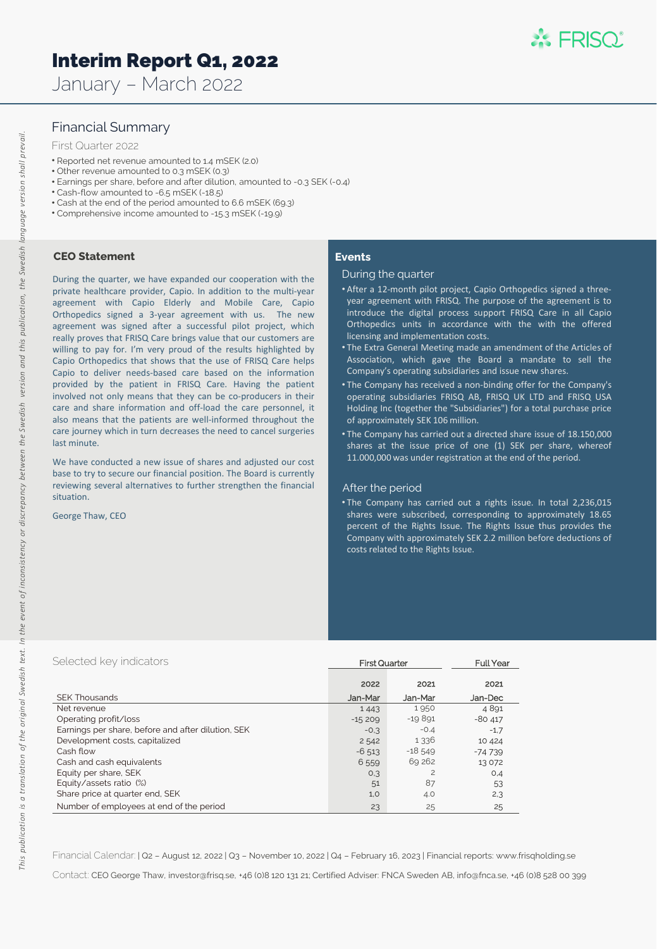# Interim Report Q1, 2022

January – March 2022

# Financial Summary

### First Quarter 2022

- Reported net revenue amounted to 1.4 mSEK (2.0)
- Other revenue amounted to 0.3 mSEK (0.3)
- Earnings per share, before and after dilution, amounted to -0.3 SEK (-0.4)
- Cash-flow amounted to -6.5 mSEK (-18.5)
- Cash at the end of the period amounted to 6.6 mSEK (69.3)
- Comprehensive income amounted to -15.3 mSEK (-19.9)

### **CEO Statement**

During the quarter, we have expanded our cooperation with the private healthcare provider, Capio. In addition to the multi-year agreement with Capio Elderly and Mobile Care, Capio Orthopedics signed a 3-year agreement with us. The new agreement was signed after a successful pilot project, which really proves that FRISQ Care brings value that our customers are willing to pay for. I'm very proud of the results highlighted by Capio Orthopedics that shows that the use of FRISQ Care helps Capio to deliver needs-based care based on the information provided by the patient in FRISQ Care. Having the patient involved not only means that they can be co-producers in their care and share information and off-load the care personnel, it also means that the patients are well-informed throughout the care journey which in turn decreases the need to cancel surgeries last minute.

We have conducted a new issue of shares and adjusted our cost base to try to secure our financial position. The Board is currently reviewing several alternatives to further strengthen the financial situation.

George Thaw, CEO

### **Events**

#### During the quarter

- After a 12-month pilot project, Capio Orthopedics signed a threeyear agreement with FRISQ. The purpose of the agreement is to introduce the digital process support FRISQ Care in all Capio Orthopedics units in accordance with the with the offered licensing and implementation costs.
- The Extra General Meeting made an amendment of the Articles of Association, which gave the Board a mandate to sell the Company's operating subsidiaries and issue new shares.
- The Company has received a non-binding offer for the Company's operating subsidiaries FRISQ AB, FRISQ UK LTD and FRISQ USA Holding Inc (together the "Subsidiaries") for a total purchase price of approximately SEK 106 million.
- The Company has carried out a directed share issue of 18.150,000 shares at the issue price of one (1) SEK per share, whereof 11.000,000 was under registration at the end of the period.

### After the period

• The Company has carried out a rights issue. In total 2,236,015 shares were subscribed, corresponding to approximately 18.65 percent of the Rights Issue. The Rights Issue thus provides the Company with approximately SEK 2.2 million before deductions of costs related to the Rights Issue.

| Selected key indicators                            | <b>First Quarter</b> |           | <b>Full Year</b> |  |
|----------------------------------------------------|----------------------|-----------|------------------|--|
|                                                    | 2022                 | 2021      | 2021             |  |
| <b>SEK Thousands</b>                               | Jan-Mar              | Jan-Mar   | Jan-Dec          |  |
| Net revenue                                        | 1443                 | 1950      | 4891             |  |
| Operating profit/loss                              | $-15209$             | $-19891$  | $-80417$         |  |
| Earnings per share, before and after dilution, SEK | $-0.3$               | $-0.4$    | $-1.7$           |  |
| Development costs, capitalized                     | 2542                 | 1336      | 10 4 24          |  |
| Cash flow                                          | $-6.513$             | $-18,549$ | $-74739$         |  |
| Cash and cash equivalents                          | 6559                 | 69 26 2   | 13 0 72          |  |
| Equity per share, SEK                              | 0.3                  | 2         | O,4              |  |
| Equity/assets ratio (%)                            | 51                   | 87        | 53               |  |
| Share price at quarter end, SEK                    | 1,0                  | 4.0       | 2,3              |  |
| Number of employees at end of the period           | 23                   | 25        | 25               |  |

Financial Calendar: | Q2 – August 12, 2022 | Q3 – November 10, 2022 | Q4 – February 16, 2023 | Financial reports: www.frisqholding.se

Contact: CEO George Thaw, investor@frisq.se, +46 (0)8 120 131 21; Certified Adviser: FNCA Sweden AB, info@fnca.se, +46 (0)8 528 00 399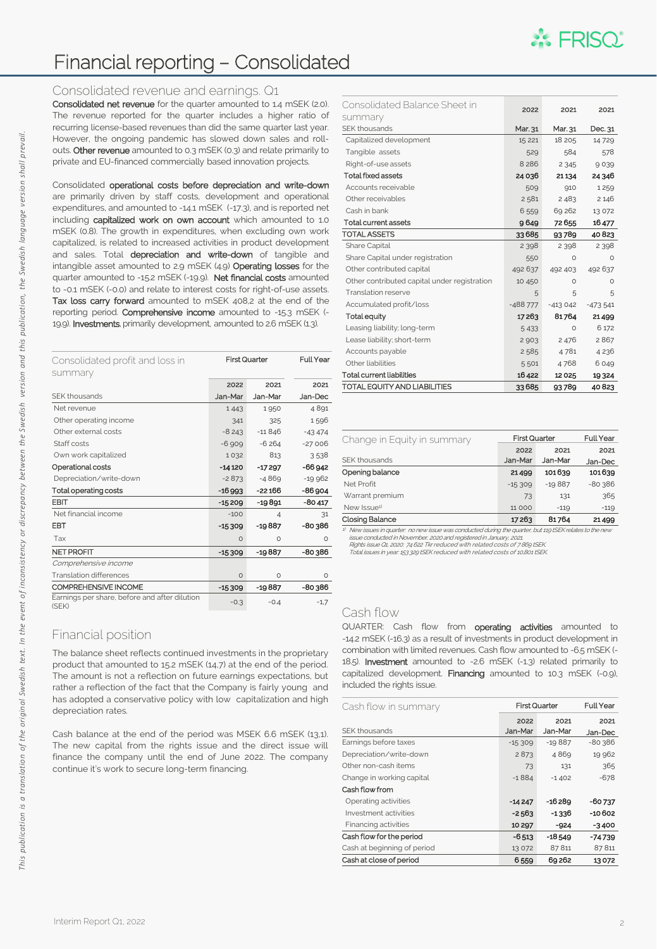

# Financial reporting – Consolidated

### Consolidated revenue and earnings. Q1

Consolidated net revenue for the quarter amounted to 1.4 mSEK (2.0). The revenue reported for the quarter includes a higher ratio of recurring license-based revenues than did the same quarter last year. However, the ongoing pandemic has slowed down sales and rollouts. Other revenue amounted to 0.3 mSEK (0.3) and relate primarily to private and EU-financed commercially based innovation projects.

Consolidated operational costs before depreciation and write-down are primarily driven by staff costs, development and operational expenditures, and amounted to -14.1 mSEK (-17.3), and is reported net including capitalized work on own account which amounted to 1.0 mSEK (0.8). The growth in expenditures, when excluding own work capitalized, is related to increased activities in product development and sales. Total depreciation and write-down of tangible and intangible asset amounted to 2.9 mSEK (4.9) Operating losses for the quarter amounted to -15.2 mSEK (-19.9). Net financial costs amounted to -0.1 mSEK (-0.0) and relate to interest costs for right-of-use assets. Tax loss carry forward amounted to mSEK 408,2 at the end of the reporting period. Comprehensive income amounted to -15.3 mSEK (-19.9). Investments, primarily development, amounted to 2.6 mSEK (1.3).

| Consolidated profit and loss in<br>summary             | <b>First Quarter</b> |                | <b>Full Year</b> |  |
|--------------------------------------------------------|----------------------|----------------|------------------|--|
|                                                        | 2022                 | 2021           | 2021             |  |
| <b>SFK thousands</b>                                   | Jan-Mar              | Jan-Mar        | Jan-Dec          |  |
| Net revenue                                            | 1443                 | 1950           | 4891             |  |
| Other operating income                                 | 341                  | 325            | 1596             |  |
| Other external costs                                   | $-8243$              | $-11846$       | $-43474$         |  |
| Staff costs                                            | $-6.909$             | $-6264$        | $-27006$         |  |
| Own work capitalized                                   | 1032                 | 813            | 3538             |  |
| Operational costs                                      | $-14120$             | $-17297$       | $-66942$         |  |
| Depreciation/write-down                                | $-2873$              | $-4869$        | $-19962$         |  |
| Total operating costs                                  | $-16993$             | $-22166$       | $-86904$         |  |
| EBIT                                                   | $-15209$             | $-19891$       | $-80417$         |  |
| Net financial income                                   | $-100$               | $\overline{4}$ | 31               |  |
| EBT                                                    | $-15309$             | -19887         | -80 386          |  |
| Tax                                                    | $\circ$              | $\circ$        | $\circ$          |  |
| <b>NET PROFIT</b>                                      | $-15309$             | $-19887$       | -80386           |  |
| Comprehensive income                                   |                      |                |                  |  |
| <b>Translation differences</b>                         | $\Omega$             | $\Omega$       | $\circ$          |  |
| COMPREHENSIVE INCOME                                   | $-15309$             | -19887         | -80386           |  |
| Earnings per share, before and after dilution<br>(SEK) | $-0.3$               | $-0.4$         | $-1,7$           |  |

# Financial position

The balance sheet reflects continued investments in the proprietary product that amounted to 15.2 mSEK (14,7) at the end of the period. The amount is not a reflection on future earnings expectations, but rather a reflection of the fact that the Company is fairly young and has adopted a conservative policy with low capitalization and high depreciation rates.

Cash balance at the end of the period was MSEK 6.6 mSEK (13,1). The new capital from the rights issue and the direct issue will finance the company until the end of June 2022. The company continue it's work to secure long-term financing.

| Consolidated Balance Sheet in                | 2022      | 2021      | 2021      |
|----------------------------------------------|-----------|-----------|-----------|
| summary                                      |           |           |           |
| SFK thousands                                | Mar. 31   | Mar. 31   | Dec. 31   |
| Capitalized development                      | 15 221    | 18 205    | 14729     |
| Tangible assets                              | 529       | 584       | 578       |
| Right-of-use assets                          | 8 2 8 6   | 2 3 4 5   | 9039      |
| <b>Total fixed assets</b>                    | 24036     | 21134     | 24 346    |
| Accounts receivable                          | 509       | 910       | 1259      |
| Other receivables                            | 2581      | 2483      | 2 1 4 6   |
| Cash in bank                                 | 6559      | 69 262    | 13 0 72   |
| <b>Total current assets</b>                  | 9649      | 72655     | 16477     |
| <b>TOTAL ASSETS</b>                          | 33685     | 93789     | 40823     |
| <b>Share Capital</b>                         | 2 3 9 8   | 2 3 9 8   | 2 3 9 8   |
| Share Capital under registration             | 550       | $\Omega$  | $\Omega$  |
| Other contributed capital                    | 492 637   | 492 403   | 492 637   |
| Other contributed capital under registration | 10 450    | $\Omega$  | $\Omega$  |
| Translation reserve                          | 5         | 5         | 5         |
| Accumulated profit/loss                      | $-488777$ | $-413042$ | $-473541$ |
| <b>Total equity</b>                          | 17263     | 81764     | 21499     |
| Leasing liability; long-term                 | 5 4 3 3   | $\Omega$  | 6 172     |
| Lease liability; short-term                  | 2903      | 2476      | 2867      |
| Accounts payable                             | 2585      | 4781      | 4236      |
| Other liabilities                            | 5501      | 4768      | 6049      |
| <b>Total current liabilities</b>             | 16422     | 12025     | 19324     |
| TOTAL EQUITY AND LIABILITIES                 | 33685     | 93789     | 40823     |

| Change in Equity in summary | <b>First Quarter</b> |          | <b>Full Year</b> |  |
|-----------------------------|----------------------|----------|------------------|--|
|                             | 2022                 | 2021     | 2021             |  |
| SEK thousands               | Jan-Mar              | Jan-Mar  | Jan-Dec          |  |
| Opening balance             | 21499                | 101639   | 101639           |  |
| Net Profit                  | $-15,309$            | $-19887$ | $-80,386$        |  |
| Warrant premium             | 73                   | 131      | 365              |  |
| New Issue <sup>1)</sup>     | 11 000               | $-119$   | $-119$           |  |
| <b>Closing Balance</b>      | 17263                | 81764    | 21499            |  |

<sup>1)</sup> New issues in quarter: no new issue was conducted during the quarter, but 119 tSEK relates to the new<br>issue conducted in November, 2020 and registered in January, 2021.<br>Rights issue O1, 2020: 74 622 Tkr reduced with r

Total issues in year: 153 329 tSEK reduced with related costs of 10,801 tSEK.

# Cash flow

QUARTER: Cash flow from **operating activities** amounted to -14.2 mSEK (-16.3) as a result of investments in product development in combination with limited revenues. Cash flow amounted to -6.5 mSEK (- 18.5). Investment amounted to -2.6 mSEK (-1.3) related primarily to capitalized development. Financing amounted to 10.3 mSEK (-0.9), included the rights issue.

| Cash flow in summary        |          | <b>First Quarter</b> |           |
|-----------------------------|----------|----------------------|-----------|
|                             | 2022     | 2021                 | 2021      |
| SFK thousands               | Jan-Mar  | Jan-Mar              | Jan-Dec   |
| Earnings before taxes       | $-15309$ | $-19887$             | $-80,386$ |
| Depreciation/write-down     | 2873     | 4869                 | 19 962    |
| Other non-cash items        | 73       | 131                  | 365       |
| Change in working capital   | $-1884$  | $-1402$              | $-678$    |
| Cash flow from              |          |                      |           |
| Operating activities        | $-14247$ | $-16289$             | -60 737   |
| Investment activities       | $-2563$  | -1336                | -10 602   |
| Financing activities        | 10 297   | $-924$               | $-3400$   |
| Cash flow for the period    | $-6513$  | $-18549$             | $-74739$  |
| Cash at beginning of period | 13 0 72  | 87811                | 87811     |
| Cash at close of period     | 6559     | 69262                | 13072     |